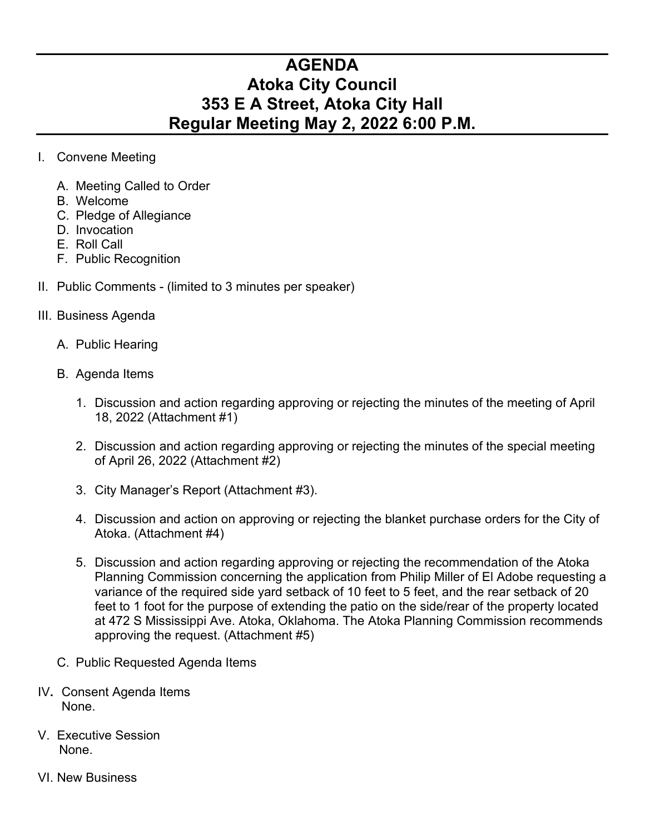## **AGENDA Atoka City Council 353 E A Street, Atoka City Hall Regular Meeting May 2, 2022 6:00 P.M.**

- I. Convene Meeting
	- A. Meeting Called to Order
	- B. Welcome
	- C. Pledge of Allegiance
	- D. Invocation
	- E. Roll Call
	- F. Public Recognition
- II. Public Comments (limited to 3 minutes per speaker)
- III. Business Agenda
	- A. Public Hearing
	- B. Agenda Items
		- 1. Discussion and action regarding approving or rejecting the minutes of the meeting of April 18, 2022 (Attachment #1)
		- 2. Discussion and action regarding approving or rejecting the minutes of the special meeting of April 26, 2022 (Attachment #2)
		- 3. City Manager's Report (Attachment #3).
		- 4. Discussion and action on approving or rejecting the blanket purchase orders for the City of Atoka. (Attachment #4)
		- 5. Discussion and action regarding approving or rejecting the recommendation of the Atoka Planning Commission concerning the application from Philip Miller of El Adobe requesting a variance of the required side yard setback of 10 feet to 5 feet, and the rear setback of 20 feet to 1 foot for the purpose of extending the patio on the side/rear of the property located at 472 S Mississippi Ave. Atoka, Oklahoma. The Atoka Planning Commission recommends approving the request. (Attachment #5)
	- C. Public Requested Agenda Items
- IV**.** Consent Agenda Items None.
- V. Executive Session None.
- VI. New Business